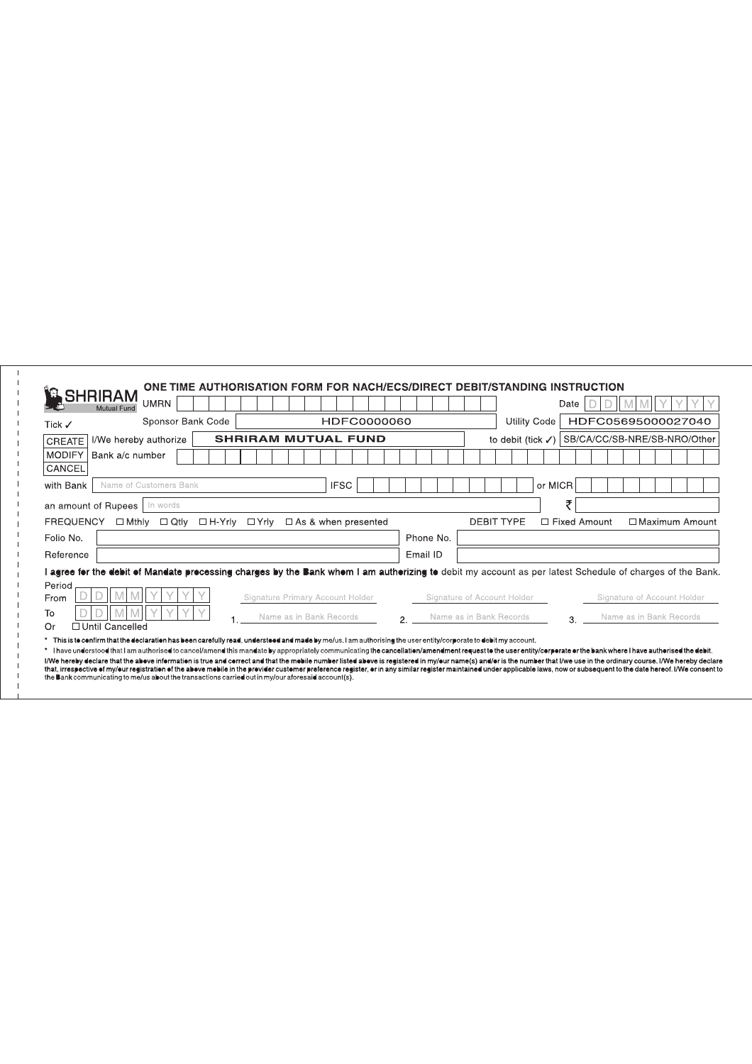| <b>SHRIRAM</b>                                                            | UMRN<br>Mutual Fund                          |                                                                                                                                                        |                |                               | Date                |                              |
|---------------------------------------------------------------------------|----------------------------------------------|--------------------------------------------------------------------------------------------------------------------------------------------------------|----------------|-------------------------------|---------------------|------------------------------|
| Tick $\checkmark$                                                         | Sponsor Bank Code                            | HDFC0000060                                                                                                                                            |                | Utility Code                  |                     | HDFC05695000027040           |
| <b>CREATE</b>                                                             | I/We hereby authorize                        | <b>SHRIRAM MUTUAL FUND</b>                                                                                                                             |                | to debit (tick $\checkmark$ ) |                     | SB/CA/CC/SB-NRE/SB-NRO/Other |
| <b>MODIFY</b><br>CANCEL                                                   | Bank a/c number                              |                                                                                                                                                        |                |                               |                     |                              |
| with Bank                                                                 | Name of Customers Bank                       | <b>IFSC</b>                                                                                                                                            |                |                               | or MICR             |                              |
| an amount of Rupees                                                       | In words                                     |                                                                                                                                                        |                |                               | ₹                   |                              |
| <b>FREQUENCY</b>                                                          | $\Box$ Qtly<br>$\Box$ H-Yrlv<br>$\Box$ Mthly | $\Box$ Yrly<br>$\Box$ As & when presented                                                                                                              |                | <b>DEBIT TYPE</b>             | $\Box$ Fixed Amount | □ Maximum Amount             |
|                                                                           |                                              |                                                                                                                                                        |                |                               |                     |                              |
|                                                                           |                                              |                                                                                                                                                        | Phone No.      |                               |                     |                              |
|                                                                           |                                              |                                                                                                                                                        | Email ID       |                               |                     |                              |
|                                                                           |                                              | agree for the debit of Mandate processing charges by the Bank whom I am authorizing to debit my account as per latest Schedule of charges of the Bank. |                |                               |                     |                              |
|                                                                           |                                              | Signature Primary Account Holder                                                                                                                       |                | Signature of Account Holder   |                     | Signature of Account Holder  |
| Folio No.<br>Reference<br>Period<br>From<br>To<br>□ Until Cancelled<br>Or |                                              | Name as in Bank Records                                                                                                                                | $\overline{2}$ | Name as in Bank Records       | 3                   | Name as in Bank Records      |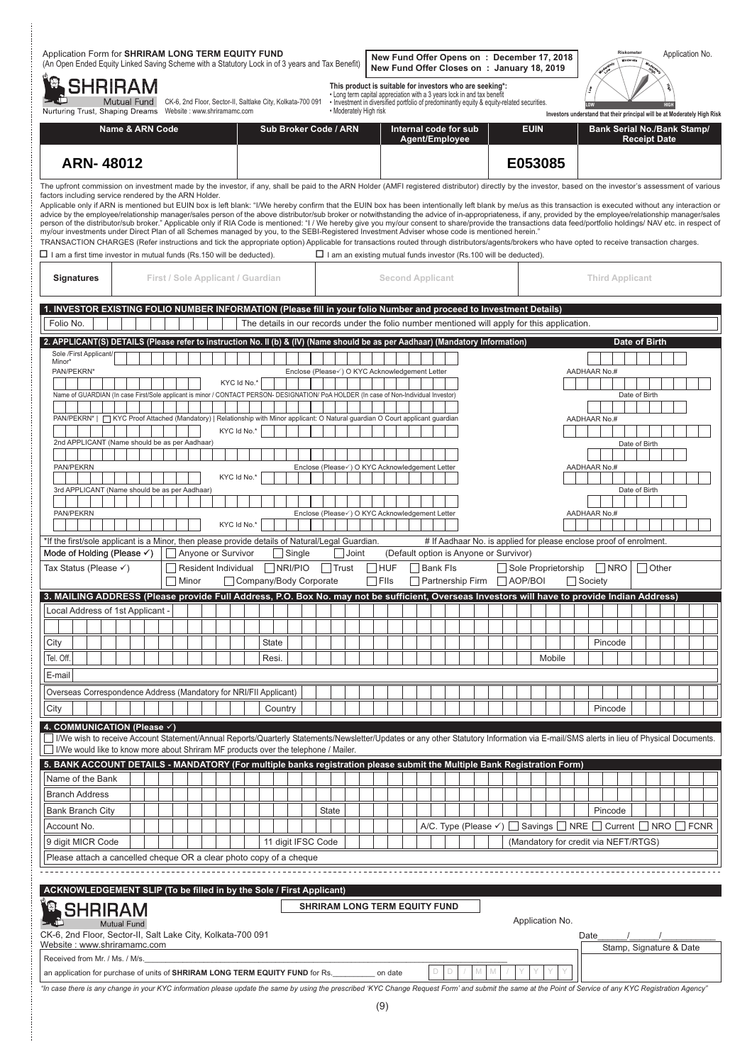|                                                                                                                                                                                                                                                                                                                                                                                                                                                                                                                                                                                                                                                                                                                                                                                                                                                                                                                                                                                                                                                                                                                                              |                 |                          | (An Open Ended Equity Linked Saving Scheme with a Statutory Lock in of 3 years and Tax Benefit) |             |              |                |                        |              |                        |                               |                   | New Fund Offer Closes on: January 18, 2019                                                                                                                                                                                        |                  |  |                                                                    |             |                                      |  |      |                                                                           |            |               |                         |  |
|----------------------------------------------------------------------------------------------------------------------------------------------------------------------------------------------------------------------------------------------------------------------------------------------------------------------------------------------------------------------------------------------------------------------------------------------------------------------------------------------------------------------------------------------------------------------------------------------------------------------------------------------------------------------------------------------------------------------------------------------------------------------------------------------------------------------------------------------------------------------------------------------------------------------------------------------------------------------------------------------------------------------------------------------------------------------------------------------------------------------------------------------|-----------------|--------------------------|-------------------------------------------------------------------------------------------------|-------------|--------------|----------------|------------------------|--------------|------------------------|-------------------------------|-------------------|-----------------------------------------------------------------------------------------------------------------------------------------------------------------------------------------------------------------------------------|------------------|--|--------------------------------------------------------------------|-------------|--------------------------------------|--|------|---------------------------------------------------------------------------|------------|---------------|-------------------------|--|
| SHRIRAM<br>Nurturing Trust, Shaping Dreams                                                                                                                                                                                                                                                                                                                                                                                                                                                                                                                                                                                                                                                                                                                                                                                                                                                                                                                                                                                                                                                                                                   | Mutual Fund     |                          | CK-6, 2nd Floor, Sector-II, Saltlake City, Kolkata-700 091<br>Website: www.shriramamc.com       |             |              |                |                        |              | • Moderately High risk |                               |                   | This product is suitable for investors who are seeking*:<br>. Long term capital appreciation with a 3 years lock in and tax benefit<br>. Investment in diversified portfolio of predominantly equity & equity-related securities. |                  |  |                                                                    |             |                                      |  |      | Investors understand that their principal will be at Moderately High Risk |            |               |                         |  |
|                                                                                                                                                                                                                                                                                                                                                                                                                                                                                                                                                                                                                                                                                                                                                                                                                                                                                                                                                                                                                                                                                                                                              | Name & ARN Code |                          |                                                                                                 |             |              |                |                        |              | Sub Broker Code / ARN  |                               |                   | Internal code for sub<br>Agent/Employee                                                                                                                                                                                           |                  |  |                                                                    | <b>EUIN</b> |                                      |  |      | Bank Serial No./Bank Stamp/                                               |            |               | <b>Receipt Date</b>     |  |
| <b>ARN-48012</b>                                                                                                                                                                                                                                                                                                                                                                                                                                                                                                                                                                                                                                                                                                                                                                                                                                                                                                                                                                                                                                                                                                                             |                 |                          |                                                                                                 |             |              |                |                        |              |                        |                               |                   |                                                                                                                                                                                                                                   |                  |  | E053085                                                            |             |                                      |  |      |                                                                           |            |               |                         |  |
| factors including service rendered by the ARN Holder.<br>Applicable only if ARN is mentioned but EUIN box is left blank: "I/We hereby confirm that the EUIN box has been intentionally left blank by me/us as this transaction is executed without any interaction or<br>advice by the employee/relationship manager/sales person of the above distributor/sub broker or notwithstanding the advice of in-appropriateness, if any, provided by the employee/relationship manager/sales<br>person of the distributor/sub broker." Applicable only if RIA Code is mentioned: "I / We hereby give you my/our consent to share/provide the transactions data feed/portfolio holdings/ NAV etc. in respect of<br>my/our investments under Direct Plan of all Schemes managed by you, to the SEBI-Registered Investment Adviser whose code is mentioned herein."<br>TRANSACTION CHARGES (Refer instructions and tick the appropriate option) Applicable for transactions routed through distributors/agents/brokers who have opted to receive transaction charges.<br>$\Box$ I am a first time investor in mutual funds (Rs.150 will be deducted). |                 |                          |                                                                                                 |             |              |                |                        |              |                        |                               |                   | $\Box$ I am an existing mutual funds investor (Rs.100 will be deducted).                                                                                                                                                          |                  |  |                                                                    |             |                                      |  |      |                                                                           |            |               |                         |  |
| <b>Signatures</b>                                                                                                                                                                                                                                                                                                                                                                                                                                                                                                                                                                                                                                                                                                                                                                                                                                                                                                                                                                                                                                                                                                                            |                 |                          | First / Sole Applicant / Guardian                                                               |             |              |                |                        |              |                        |                               |                   | <b>Second Applicant</b>                                                                                                                                                                                                           |                  |  |                                                                    |             |                                      |  |      | <b>Third Applicant</b>                                                    |            |               |                         |  |
| 1. INVESTOR EXISTING FOLIO NUMBER INFORMATION (Please fill in your folio Number and proceed to Investment Details)                                                                                                                                                                                                                                                                                                                                                                                                                                                                                                                                                                                                                                                                                                                                                                                                                                                                                                                                                                                                                           |                 |                          |                                                                                                 |             |              |                |                        |              |                        |                               |                   |                                                                                                                                                                                                                                   |                  |  |                                                                    |             |                                      |  |      |                                                                           |            |               |                         |  |
| Folio No.                                                                                                                                                                                                                                                                                                                                                                                                                                                                                                                                                                                                                                                                                                                                                                                                                                                                                                                                                                                                                                                                                                                                    |                 |                          |                                                                                                 |             |              |                |                        |              |                        |                               |                   | The details in our records under the folio number mentioned will apply for this application.                                                                                                                                      |                  |  |                                                                    |             |                                      |  |      |                                                                           |            |               |                         |  |
| 2. APPLICANT(S) DETAILS (Please refer to instruction No. II (b) & (IV) (Name should be as per Aadhaar) (Mandatory Information)<br>Sole /First Applicant/                                                                                                                                                                                                                                                                                                                                                                                                                                                                                                                                                                                                                                                                                                                                                                                                                                                                                                                                                                                     |                 |                          |                                                                                                 |             |              |                |                        |              |                        |                               |                   |                                                                                                                                                                                                                                   |                  |  |                                                                    |             |                                      |  |      |                                                                           |            | Date of Birth |                         |  |
| Minor*<br>PAN/PEKRN*                                                                                                                                                                                                                                                                                                                                                                                                                                                                                                                                                                                                                                                                                                                                                                                                                                                                                                                                                                                                                                                                                                                         |                 |                          |                                                                                                 |             |              |                |                        |              |                        |                               |                   | Enclose (Please ) O KYC Acknowledgement Letter                                                                                                                                                                                    |                  |  |                                                                    |             |                                      |  |      | AADHAAR No.#                                                              |            |               |                         |  |
|                                                                                                                                                                                                                                                                                                                                                                                                                                                                                                                                                                                                                                                                                                                                                                                                                                                                                                                                                                                                                                                                                                                                              |                 |                          |                                                                                                 | KYC Id No.* |              |                |                        |              |                        |                               |                   |                                                                                                                                                                                                                                   |                  |  |                                                                    |             |                                      |  |      |                                                                           |            |               |                         |  |
| Name of GUARDIAN (In case First/Sole applicant is minor / CONTACT PERSON- DESIGNATION/ PoA HOLDER (In case of Non-Individual Investor)                                                                                                                                                                                                                                                                                                                                                                                                                                                                                                                                                                                                                                                                                                                                                                                                                                                                                                                                                                                                       |                 |                          |                                                                                                 |             |              |                |                        |              |                        |                               |                   |                                                                                                                                                                                                                                   |                  |  |                                                                    |             |                                      |  |      |                                                                           |            | Date of Birth |                         |  |
| PAN/PEKRN*     KYC Proof Attached (Mandatory)   Relationship with Minor applicant: O Natural guardian O Court applicant guardian                                                                                                                                                                                                                                                                                                                                                                                                                                                                                                                                                                                                                                                                                                                                                                                                                                                                                                                                                                                                             |                 |                          |                                                                                                 |             |              |                |                        |              |                        |                               |                   |                                                                                                                                                                                                                                   |                  |  |                                                                    |             |                                      |  |      | AADHAAR No.#                                                              |            |               |                         |  |
|                                                                                                                                                                                                                                                                                                                                                                                                                                                                                                                                                                                                                                                                                                                                                                                                                                                                                                                                                                                                                                                                                                                                              |                 |                          |                                                                                                 | KYC Id No.* |              |                |                        |              |                        |                               |                   |                                                                                                                                                                                                                                   |                  |  |                                                                    |             |                                      |  |      |                                                                           |            |               |                         |  |
| 2nd APPLICANT (Name should be as per Aadhaar)                                                                                                                                                                                                                                                                                                                                                                                                                                                                                                                                                                                                                                                                                                                                                                                                                                                                                                                                                                                                                                                                                                |                 |                          |                                                                                                 |             |              |                |                        |              |                        |                               |                   |                                                                                                                                                                                                                                   |                  |  |                                                                    |             |                                      |  |      |                                                                           |            | Date of Birth |                         |  |
| PAN/PEKRN                                                                                                                                                                                                                                                                                                                                                                                                                                                                                                                                                                                                                                                                                                                                                                                                                                                                                                                                                                                                                                                                                                                                    |                 |                          |                                                                                                 |             |              |                |                        |              |                        |                               |                   | Enclose (Please√) O KYC Acknowledgement Letter                                                                                                                                                                                    |                  |  |                                                                    |             |                                      |  |      | AADHAAR No.#                                                              |            |               |                         |  |
|                                                                                                                                                                                                                                                                                                                                                                                                                                                                                                                                                                                                                                                                                                                                                                                                                                                                                                                                                                                                                                                                                                                                              |                 |                          |                                                                                                 | KYC Id No.* |              |                |                        |              |                        |                               |                   |                                                                                                                                                                                                                                   |                  |  |                                                                    |             |                                      |  |      |                                                                           |            |               |                         |  |
| 3rd APPLICANT (Name should be as per Aadhaar)                                                                                                                                                                                                                                                                                                                                                                                                                                                                                                                                                                                                                                                                                                                                                                                                                                                                                                                                                                                                                                                                                                |                 |                          |                                                                                                 |             |              |                |                        |              |                        |                               |                   |                                                                                                                                                                                                                                   |                  |  |                                                                    |             |                                      |  |      |                                                                           |            | Date of Birth |                         |  |
| PAN/PEKRN                                                                                                                                                                                                                                                                                                                                                                                                                                                                                                                                                                                                                                                                                                                                                                                                                                                                                                                                                                                                                                                                                                                                    |                 |                          |                                                                                                 |             |              |                |                        |              |                        |                               |                   | Enclose (Pleasev) O KYC Acknowledgement Letter                                                                                                                                                                                    |                  |  |                                                                    |             |                                      |  |      | AADHAAR No.#                                                              |            |               |                         |  |
|                                                                                                                                                                                                                                                                                                                                                                                                                                                                                                                                                                                                                                                                                                                                                                                                                                                                                                                                                                                                                                                                                                                                              |                 |                          |                                                                                                 | KYC Id No.* |              |                |                        |              |                        |                               |                   |                                                                                                                                                                                                                                   |                  |  |                                                                    |             |                                      |  |      |                                                                           |            |               |                         |  |
| *If the first/sole applicant is a Minor, then please provide details of Natural/Legal Guardian.                                                                                                                                                                                                                                                                                                                                                                                                                                                                                                                                                                                                                                                                                                                                                                                                                                                                                                                                                                                                                                              |                 |                          |                                                                                                 |             |              |                |                        |              |                        |                               |                   |                                                                                                                                                                                                                                   |                  |  |                                                                    |             |                                      |  |      |                                                                           |            |               |                         |  |
| Mode of Holding (Please $\checkmark$ )                                                                                                                                                                                                                                                                                                                                                                                                                                                                                                                                                                                                                                                                                                                                                                                                                                                                                                                                                                                                                                                                                                       |                 |                          | Anyone or Survivor                                                                              |             |              |                |                        |              |                        |                               |                   |                                                                                                                                                                                                                                   |                  |  | # If Aadhaar No. is applied for please enclose proof of enrolment. |             |                                      |  |      |                                                                           |            |               |                         |  |
|                                                                                                                                                                                                                                                                                                                                                                                                                                                                                                                                                                                                                                                                                                                                                                                                                                                                                                                                                                                                                                                                                                                                              |                 |                          |                                                                                                 |             |              | Single         |                        |              | Joint                  |                               |                   | (Default option is Anyone or Survivor)                                                                                                                                                                                            |                  |  |                                                                    |             |                                      |  |      |                                                                           |            |               |                         |  |
|                                                                                                                                                                                                                                                                                                                                                                                                                                                                                                                                                                                                                                                                                                                                                                                                                                                                                                                                                                                                                                                                                                                                              |                 |                          | Resident Individual                                                                             |             |              | $\Box$ NRI/PIO |                        |              | $\Box$ Trust           | <b>HUF</b>                    |                   | <b>Bank Fls</b>                                                                                                                                                                                                                   |                  |  | Sole Proprietorship                                                |             |                                      |  |      |                                                                           | $\Box$ NRO |               | Other                   |  |
|                                                                                                                                                                                                                                                                                                                                                                                                                                                                                                                                                                                                                                                                                                                                                                                                                                                                                                                                                                                                                                                                                                                                              |                 | $\overline{\phantom{a}}$ | Minor                                                                                           |             |              |                | Company/Body Corporate |              |                        | $\overline{\phantom{a}}$ Fils | $\vert \ \ \vert$ |                                                                                                                                                                                                                                   | Partnership Firm |  | $\Box$ AOP/BOI                                                     |             |                                      |  |      | Society                                                                   |            |               |                         |  |
|                                                                                                                                                                                                                                                                                                                                                                                                                                                                                                                                                                                                                                                                                                                                                                                                                                                                                                                                                                                                                                                                                                                                              |                 |                          |                                                                                                 |             |              |                |                        |              |                        |                               |                   |                                                                                                                                                                                                                                   |                  |  |                                                                    |             |                                      |  |      |                                                                           |            |               |                         |  |
|                                                                                                                                                                                                                                                                                                                                                                                                                                                                                                                                                                                                                                                                                                                                                                                                                                                                                                                                                                                                                                                                                                                                              |                 |                          |                                                                                                 |             |              |                |                        |              |                        |                               |                   |                                                                                                                                                                                                                                   |                  |  |                                                                    |             |                                      |  |      |                                                                           |            |               |                         |  |
|                                                                                                                                                                                                                                                                                                                                                                                                                                                                                                                                                                                                                                                                                                                                                                                                                                                                                                                                                                                                                                                                                                                                              |                 |                          |                                                                                                 |             | <b>State</b> |                |                        |              |                        |                               |                   |                                                                                                                                                                                                                                   |                  |  |                                                                    |             |                                      |  |      | Pincode                                                                   |            |               |                         |  |
|                                                                                                                                                                                                                                                                                                                                                                                                                                                                                                                                                                                                                                                                                                                                                                                                                                                                                                                                                                                                                                                                                                                                              |                 |                          |                                                                                                 |             | Resi.        |                |                        |              |                        |                               |                   |                                                                                                                                                                                                                                   |                  |  |                                                                    |             | Mobile                               |  |      |                                                                           |            |               |                         |  |
|                                                                                                                                                                                                                                                                                                                                                                                                                                                                                                                                                                                                                                                                                                                                                                                                                                                                                                                                                                                                                                                                                                                                              |                 |                          |                                                                                                 |             |              |                |                        |              |                        |                               |                   |                                                                                                                                                                                                                                   |                  |  |                                                                    |             |                                      |  |      |                                                                           |            |               |                         |  |
|                                                                                                                                                                                                                                                                                                                                                                                                                                                                                                                                                                                                                                                                                                                                                                                                                                                                                                                                                                                                                                                                                                                                              |                 |                          |                                                                                                 |             |              |                |                        |              |                        |                               |                   |                                                                                                                                                                                                                                   |                  |  |                                                                    |             |                                      |  |      |                                                                           |            |               |                         |  |
|                                                                                                                                                                                                                                                                                                                                                                                                                                                                                                                                                                                                                                                                                                                                                                                                                                                                                                                                                                                                                                                                                                                                              |                 |                          |                                                                                                 |             |              |                |                        |              |                        |                               |                   |                                                                                                                                                                                                                                   |                  |  |                                                                    |             |                                      |  |      | Pincode                                                                   |            |               |                         |  |
|                                                                                                                                                                                                                                                                                                                                                                                                                                                                                                                                                                                                                                                                                                                                                                                                                                                                                                                                                                                                                                                                                                                                              |                 |                          |                                                                                                 |             |              | Country        |                        |              |                        |                               |                   |                                                                                                                                                                                                                                   |                  |  |                                                                    |             |                                      |  |      |                                                                           |            |               |                         |  |
|                                                                                                                                                                                                                                                                                                                                                                                                                                                                                                                                                                                                                                                                                                                                                                                                                                                                                                                                                                                                                                                                                                                                              |                 |                          |                                                                                                 |             |              |                |                        |              |                        |                               |                   |                                                                                                                                                                                                                                   |                  |  |                                                                    |             |                                      |  |      |                                                                           |            |               |                         |  |
|                                                                                                                                                                                                                                                                                                                                                                                                                                                                                                                                                                                                                                                                                                                                                                                                                                                                                                                                                                                                                                                                                                                                              |                 |                          |                                                                                                 |             |              |                |                        |              |                        |                               |                   |                                                                                                                                                                                                                                   |                  |  |                                                                    |             |                                      |  |      |                                                                           |            |               |                         |  |
|                                                                                                                                                                                                                                                                                                                                                                                                                                                                                                                                                                                                                                                                                                                                                                                                                                                                                                                                                                                                                                                                                                                                              |                 |                          |                                                                                                 |             |              |                |                        |              |                        |                               |                   |                                                                                                                                                                                                                                   |                  |  |                                                                    |             |                                      |  |      |                                                                           |            |               |                         |  |
|                                                                                                                                                                                                                                                                                                                                                                                                                                                                                                                                                                                                                                                                                                                                                                                                                                                                                                                                                                                                                                                                                                                                              |                 |                          |                                                                                                 |             |              |                |                        |              |                        |                               |                   |                                                                                                                                                                                                                                   |                  |  |                                                                    |             |                                      |  |      |                                                                           |            |               |                         |  |
|                                                                                                                                                                                                                                                                                                                                                                                                                                                                                                                                                                                                                                                                                                                                                                                                                                                                                                                                                                                                                                                                                                                                              |                 |                          |                                                                                                 |             |              |                |                        |              |                        |                               |                   |                                                                                                                                                                                                                                   |                  |  |                                                                    |             |                                      |  |      |                                                                           |            |               |                         |  |
|                                                                                                                                                                                                                                                                                                                                                                                                                                                                                                                                                                                                                                                                                                                                                                                                                                                                                                                                                                                                                                                                                                                                              |                 |                          |                                                                                                 |             |              |                |                        | <b>State</b> |                        |                               |                   |                                                                                                                                                                                                                                   |                  |  |                                                                    |             |                                      |  |      | Pincode                                                                   |            |               |                         |  |
|                                                                                                                                                                                                                                                                                                                                                                                                                                                                                                                                                                                                                                                                                                                                                                                                                                                                                                                                                                                                                                                                                                                                              |                 |                          |                                                                                                 |             |              |                |                        |              |                        |                               |                   | A/C. Type (Please $\checkmark$ ) $\Box$                                                                                                                                                                                           |                  |  |                                                                    |             | Savings ■ NRE ■ Current ■ NRO ■ FCNR |  |      |                                                                           |            |               |                         |  |
|                                                                                                                                                                                                                                                                                                                                                                                                                                                                                                                                                                                                                                                                                                                                                                                                                                                                                                                                                                                                                                                                                                                                              |                 |                          |                                                                                                 |             |              |                | 11 digit IFSC Code     |              |                        |                               |                   |                                                                                                                                                                                                                                   |                  |  |                                                                    |             | (Mandatory for credit via NEFT/RTGS) |  |      |                                                                           |            |               |                         |  |
|                                                                                                                                                                                                                                                                                                                                                                                                                                                                                                                                                                                                                                                                                                                                                                                                                                                                                                                                                                                                                                                                                                                                              |                 |                          |                                                                                                 |             |              |                |                        |              |                        |                               |                   |                                                                                                                                                                                                                                   |                  |  |                                                                    |             |                                      |  |      |                                                                           |            |               |                         |  |
| Tax Status (Please √)<br>3. MAILING ADDRESS (Please provide Full Address, P.O. Box No. may not be sufficient, Overseas Investors will have to provide Indian Address)<br>Local Address of 1st Applicant<br>City<br>Tel. Off.<br>E-mail<br>Overseas Correspondence Address (Mandatory for NRI/FII Applicant)<br>City<br>4. COMMUNICATION (Please $\checkmark$ )<br>I/We wish to receive Account Statement/Annual Reports/Quarterly Statements/Newsletter/Updates or any other Statutory Information via E-mail/SMS alerts in lieu of Physical Documents.<br>I/We would like to know more about Shriram MF products over the telephone / Mailer.<br>5. BANK ACCOUNT DETAILS - MANDATORY (For multiple banks registration please submit the Multiple Bank Registration Form)<br>Name of the Bank<br><b>Branch Address</b><br><b>Bank Branch City</b><br>Account No.<br>9 digit MICR Code<br>Please attach a cancelled cheque OR a clear photo copy of a cheque                                                                                                                                                                                  |                 |                          |                                                                                                 |             |              |                |                        |              |                        |                               |                   |                                                                                                                                                                                                                                   |                  |  |                                                                    |             |                                      |  |      |                                                                           |            |               |                         |  |
|                                                                                                                                                                                                                                                                                                                                                                                                                                                                                                                                                                                                                                                                                                                                                                                                                                                                                                                                                                                                                                                                                                                                              |                 |                          |                                                                                                 |             |              |                |                        |              |                        |                               |                   |                                                                                                                                                                                                                                   |                  |  |                                                                    |             |                                      |  |      |                                                                           |            |               |                         |  |
| ACKNOWLEDGEMENT SLIP (To be filled in by the Sole / First Applicant)                                                                                                                                                                                                                                                                                                                                                                                                                                                                                                                                                                                                                                                                                                                                                                                                                                                                                                                                                                                                                                                                         |                 |                          |                                                                                                 |             |              |                |                        |              |                        |                               |                   | <b>SHRIRAM LONG TERM EQUITY FUND</b>                                                                                                                                                                                              |                  |  |                                                                    |             |                                      |  |      |                                                                           |            |               |                         |  |
|                                                                                                                                                                                                                                                                                                                                                                                                                                                                                                                                                                                                                                                                                                                                                                                                                                                                                                                                                                                                                                                                                                                                              | Mutual Fund     |                          |                                                                                                 |             |              |                |                        |              |                        |                               |                   |                                                                                                                                                                                                                                   |                  |  |                                                                    |             | Application No.                      |  |      |                                                                           |            |               |                         |  |
|                                                                                                                                                                                                                                                                                                                                                                                                                                                                                                                                                                                                                                                                                                                                                                                                                                                                                                                                                                                                                                                                                                                                              |                 |                          |                                                                                                 |             |              |                |                        |              |                        |                               |                   |                                                                                                                                                                                                                                   |                  |  |                                                                    |             |                                      |  | Date |                                                                           |            |               |                         |  |
| CK-6, 2nd Floor, Sector-II, Salt Lake City, Kolkata-700 091<br>Website: www.shriramamc.com<br>Received from Mr. / Ms. / M/s.                                                                                                                                                                                                                                                                                                                                                                                                                                                                                                                                                                                                                                                                                                                                                                                                                                                                                                                                                                                                                 |                 |                          |                                                                                                 |             |              |                |                        |              |                        |                               |                   |                                                                                                                                                                                                                                   |                  |  |                                                                    |             |                                      |  |      |                                                                           |            |               | Stamp, Signature & Date |  |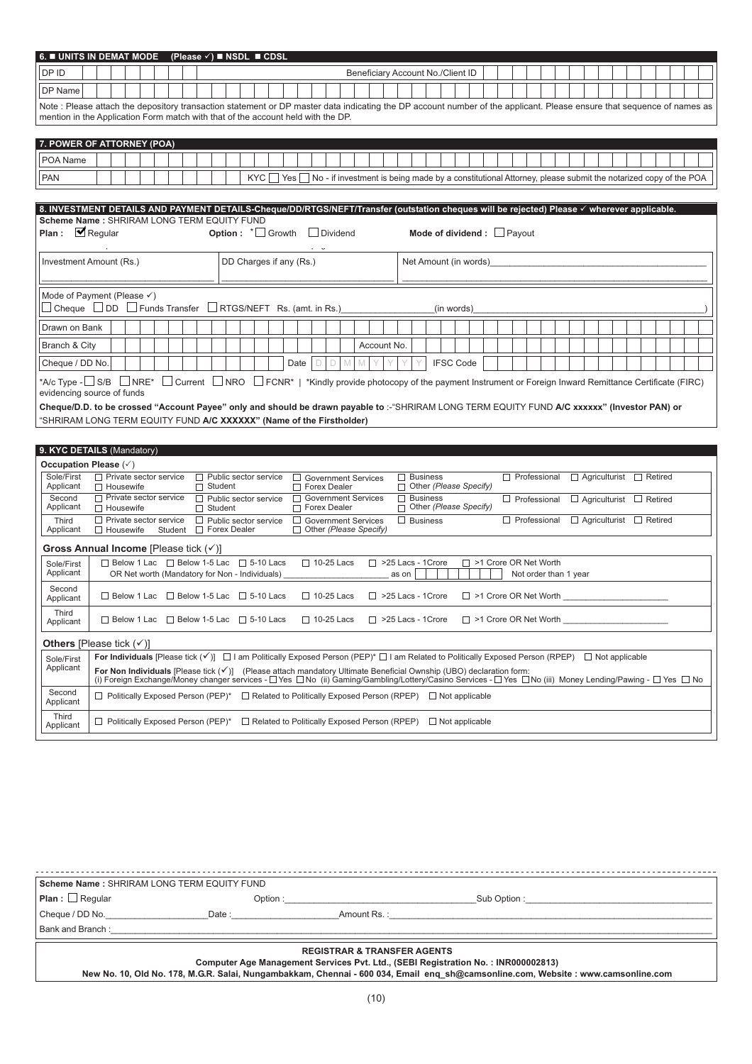| 6. ■ UNITS IN DEMAT MODE (Please $\checkmark$ ) ■ NSDL ■ CDSL                                                                                                                                                                                                                                                                                                                                                                                                                               |                                                  |                                     |                |
|---------------------------------------------------------------------------------------------------------------------------------------------------------------------------------------------------------------------------------------------------------------------------------------------------------------------------------------------------------------------------------------------------------------------------------------------------------------------------------------------|--------------------------------------------------|-------------------------------------|----------------|
| DP ID<br>Beneficiary Account No./Client ID                                                                                                                                                                                                                                                                                                                                                                                                                                                  |                                                  |                                     |                |
| DP Name                                                                                                                                                                                                                                                                                                                                                                                                                                                                                     |                                                  |                                     |                |
| Note : Please attach the depository transaction statement or DP master data indicating the DP account number of the applicant. Please ensure that sequence of names as<br>mention in the Application Form match with that of the account held with the DP.                                                                                                                                                                                                                                  |                                                  |                                     |                |
| 7. POWER OF ATTORNEY (POA)                                                                                                                                                                                                                                                                                                                                                                                                                                                                  |                                                  |                                     |                |
| POA Name                                                                                                                                                                                                                                                                                                                                                                                                                                                                                    |                                                  |                                     |                |
| <b>PAN</b><br>$KYC \cap Yes \cap No - if investment is being made by a constitutional Attorney, please submit the notarized copy of the POA.$                                                                                                                                                                                                                                                                                                                                               |                                                  |                                     |                |
|                                                                                                                                                                                                                                                                                                                                                                                                                                                                                             |                                                  |                                     |                |
| 8. INVESTMENT DETAILS AND PAYMENT DETAILS-Cheque/DD/RTGS/NEFT/Transfer (outstation cheques will be rejected) Please √ wherever applicable.                                                                                                                                                                                                                                                                                                                                                  |                                                  |                                     |                |
| Scheme Name: SHRIRAM LONG TERM EQUITY FUND<br><b>Plan</b> : <b>M</b> Regular<br>Option: * Growth<br>$\Box$ Dividend<br>Mode of dividend : $\Box$ Payout                                                                                                                                                                                                                                                                                                                                     |                                                  |                                     |                |
| DD Charges if any (Rs.)<br>Net Amount (in words)<br>Investment Amount (Rs.)                                                                                                                                                                                                                                                                                                                                                                                                                 |                                                  |                                     |                |
| Mode of Payment (Please √)<br>$\Box$ Cheque $\Box$ DD $\Box$ Funds Transfer $\Box$ RTGS/NEFT Rs. (amt. in Rs.)<br>(in words)                                                                                                                                                                                                                                                                                                                                                                |                                                  |                                     |                |
| Drawn on Bank                                                                                                                                                                                                                                                                                                                                                                                                                                                                               |                                                  |                                     |                |
| Branch & City<br>Account No.                                                                                                                                                                                                                                                                                                                                                                                                                                                                |                                                  |                                     |                |
| Date<br><b>IFSC Code</b><br>Cheque / DD No.<br>D                                                                                                                                                                                                                                                                                                                                                                                                                                            |                                                  |                                     |                |
| *A/c Type -□ S/B □ NRE* □ Current □ NRO □ FCNR*   *Kindly provide photocopy of the payment Instrument or Foreign Inward Remittance Certificate (FIRC)<br>evidencing source of funds<br>Cheque/D.D. to be crossed "Account Payee" only and should be drawn payable to :-"SHRIRAM LONG TERM EQUITY FUND A/C xxxxxx" (Investor PAN) or<br>"SHRIRAM LONG TERM EQUITY FUND A/C XXXXXX" (Name of the Firstholder)                                                                                 |                                                  |                                     |                |
| 9. KYC DETAILS (Mandatory)                                                                                                                                                                                                                                                                                                                                                                                                                                                                  |                                                  |                                     |                |
| Occupation Please $(\check{ } )$                                                                                                                                                                                                                                                                                                                                                                                                                                                            |                                                  |                                     |                |
| Sole/First<br>□ Private sector service<br>$\Box$ Business<br>□ Public sector service<br>⊔<br><b>Government Services</b><br>Applicant<br>$\Box$ Student<br>Other (Please Specify)<br>□ Forex Dealer<br>$\Box$ Housewife                                                                                                                                                                                                                                                                      | Professional                                     | $\Box$ Agriculturist                | Retired        |
| □ Private sector service<br>Government Services<br>Second<br>$\Box$ Public sector service<br>$\Box$ Business<br>Other (Please Specify)<br>Applicant<br>□ Forex Dealer<br>$\Box$ Housewife<br>$\Box$ Student                                                                                                                                                                                                                                                                                 | $\Box$ Professional                              | $\Box$ Agriculturist                | $\Box$ Retired |
| $\Box$ Public sector service<br>$\Box$ Private sector service<br>□ Government Services<br>Third<br>$\Box$ Business<br>Applicant<br>$\Box$ Housewife<br>Student<br>□ Forex Dealer<br>$\Box$ Other (Please Specify)                                                                                                                                                                                                                                                                           | $\Box$ Professional                              | $\Box$ Agriculturist $\Box$ Retired |                |
| Gross Annual Income [Please tick (√)]                                                                                                                                                                                                                                                                                                                                                                                                                                                       |                                                  |                                     |                |
| □ Below 1 Lac □ Below 1-5 Lac □ 5-10 Lacs<br>$\Box$ 10-25 Lacs<br>$\Box$ >25 Lacs - 1 Crore<br>Sole/First<br>Applicant<br>OR Net worth (Mandatory for Non - Individuals)<br>as on                                                                                                                                                                                                                                                                                                           | □ >1 Crore OR Net Worth<br>Not order than 1 year |                                     |                |
| Second<br>$\Box$ Below 1 Lac $\Box$ Below 1-5 Lac $\Box$ 5-10 Lacs<br>$\Box$ 10-25 Lacs<br>$\Box$ >25 Lacs - 1 Crore<br>Applicant                                                                                                                                                                                                                                                                                                                                                           | $\Box$ >1 Crore OR Net Worth                     |                                     |                |
| Third<br>$\Box$ Below 1 Lac $\Box$ Below 1-5 Lac $\Box$ 5-10 Lacs<br>$\Box$ >25 Lacs - 1 Crore<br>$\Box$ 10-25 Lacs<br>Applicant                                                                                                                                                                                                                                                                                                                                                            | $\Box$ >1 Crore OR Net Worth                     |                                     |                |
| <b>Others</b> [Please tick $(\checkmark)$ ]                                                                                                                                                                                                                                                                                                                                                                                                                                                 |                                                  |                                     |                |
| For Individuals [Please tick $(\checkmark)$ ] $\Box$ I am Politically Exposed Person (PEP) <sup>*</sup> $\Box$ I am Related to Politically Exposed Person (RPEP)<br>Sole/First<br>Applicant<br>For Non Individuals [Please tick $(\checkmark)$ ] (Please attach mandatory Ultimate Beneficial Ownship (UBO) declaration form:<br>(i) Foreign Exchange/Money changer services - □ Yes □ No (ii) Gaming/Gambling/Lottery/Casino Services - □ Yes □ No (iii) Money Lending/Pawing - □ Yes □ No |                                                  | $\Box$ Not applicable               |                |
| Second<br>□ Politically Exposed Person (PEP)*<br>$\Box$ Related to Politically Exposed Person (RPEP) $\Box$ Not applicable<br>Applicant                                                                                                                                                                                                                                                                                                                                                     |                                                  |                                     |                |
| Third<br>Politically Exposed Person (PEP)*<br>$\Box$ Related to Politically Exposed Person (RPEP) $\Box$ Not applicable<br>Applicant                                                                                                                                                                                                                                                                                                                                                        |                                                  |                                     |                |
|                                                                                                                                                                                                                                                                                                                                                                                                                                                                                             |                                                  |                                     |                |

| Scheme Name: SHRIRAM LONG TERM EQUITY FUND |                                                                                                                                                                                                                                |                                                                                                                             |             |  |
|--------------------------------------------|--------------------------------------------------------------------------------------------------------------------------------------------------------------------------------------------------------------------------------|-----------------------------------------------------------------------------------------------------------------------------|-------------|--|
| $ $ Plan : $\Box$ Regular                  | Option :                                                                                                                                                                                                                       |                                                                                                                             | Sub Option: |  |
| Cheque / DD No.                            | Date: the contract of the contract of the contract of the contract of the contract of the contract of the contract of the contract of the contract of the contract of the contract of the contract of the contract of the cont | Amount Rs.:                                                                                                                 |             |  |
| Bank and Branch:                           |                                                                                                                                                                                                                                |                                                                                                                             |             |  |
|                                            |                                                                                                                                                                                                                                | <b>REGISTRAR &amp; TRANSFER AGENTS</b><br>Computer Age Management Services Pvt. Ltd., (SEBI Registration No.: INR000002813) |             |  |

**New No. 10, Old No. 178, M.G.R. Salai, Nungambakkam, Chennai - 600 034, Email enq\_sh@camsonline.com, Website : www.camsonline.com**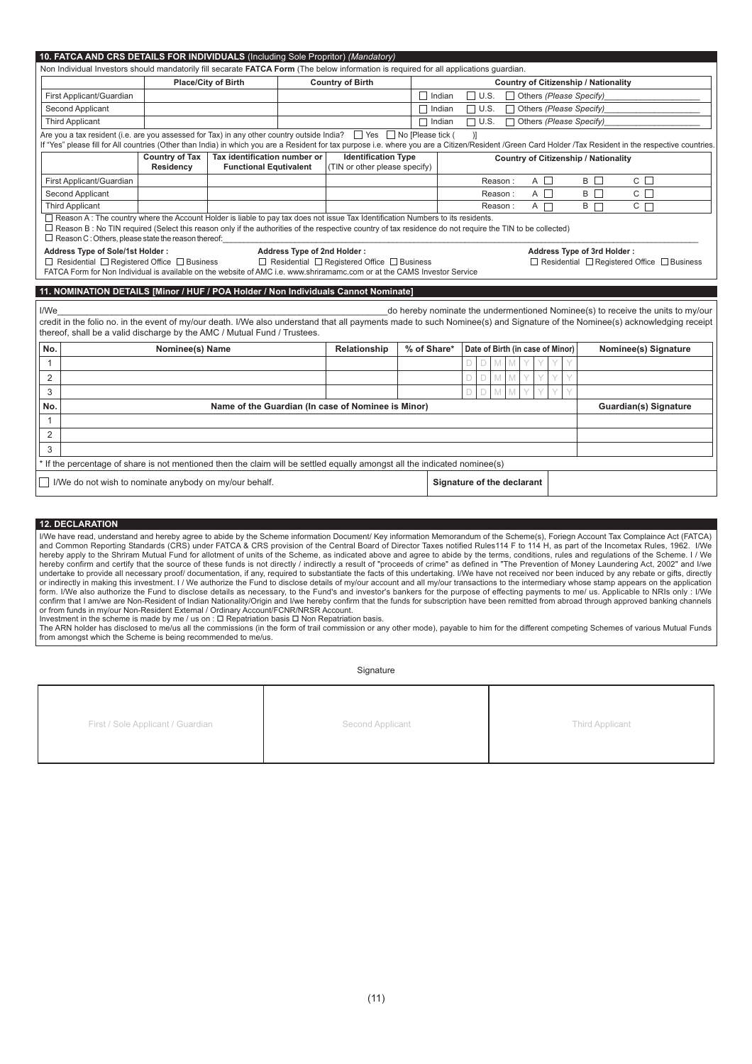| Non Individual Investors should mandatorily fill secarate FATCA Form (The below information is required for all applications quardian.                                                                                                                                                                                                                                                                                                                                                                                                                                                                                                                                                                                                                       |                                    |                                                               |                                                             |             |               |                                  |                                |                                             |                                                                                                                                                |  |
|--------------------------------------------------------------------------------------------------------------------------------------------------------------------------------------------------------------------------------------------------------------------------------------------------------------------------------------------------------------------------------------------------------------------------------------------------------------------------------------------------------------------------------------------------------------------------------------------------------------------------------------------------------------------------------------------------------------------------------------------------------------|------------------------------------|---------------------------------------------------------------|-------------------------------------------------------------|-------------|---------------|----------------------------------|--------------------------------|---------------------------------------------|------------------------------------------------------------------------------------------------------------------------------------------------|--|
|                                                                                                                                                                                                                                                                                                                                                                                                                                                                                                                                                                                                                                                                                                                                                              |                                    | Place/City of Birth                                           | <b>Country of Birth</b>                                     |             |               |                                  |                                | <b>Country of Citizenship / Nationality</b> |                                                                                                                                                |  |
| First Applicant/Guardian                                                                                                                                                                                                                                                                                                                                                                                                                                                                                                                                                                                                                                                                                                                                     |                                    |                                                               |                                                             |             | $\Box$ Indian | $\Box$ U.S.                      | $\Box$ Others (Please Specify) |                                             |                                                                                                                                                |  |
| Second Applicant                                                                                                                                                                                                                                                                                                                                                                                                                                                                                                                                                                                                                                                                                                                                             |                                    |                                                               |                                                             |             | $\Box$ Indian | $\Box$ U.S.                      | $\Box$ Others (Please Specify) |                                             |                                                                                                                                                |  |
| <b>Third Applicant</b>                                                                                                                                                                                                                                                                                                                                                                                                                                                                                                                                                                                                                                                                                                                                       |                                    |                                                               |                                                             |             | $\Box$ Indian | $\Box$ U.S.                      | □ Others (Please Specify)      |                                             |                                                                                                                                                |  |
| Are you a tax resident (i.e. are you assessed for Tax) in any other country outside India? $\Box$ Yes $\Box$ No [Please tick (<br>If "Yes" please fill for All countries (Other than India) in which you are a Resident for tax purpose i.e. where you are a Citizen/Resident /Green Card Holder /Tax Resident in the respective countries                                                                                                                                                                                                                                                                                                                                                                                                                   |                                    |                                                               |                                                             |             | )             |                                  |                                |                                             |                                                                                                                                                |  |
|                                                                                                                                                                                                                                                                                                                                                                                                                                                                                                                                                                                                                                                                                                                                                              | <b>Country of Tax</b><br>Residency | Tax identification number or<br><b>Functional Equtivalent</b> | <b>Identification Type</b><br>(TIN or other please specify) |             |               |                                  |                                | <b>Country of Citizenship / Nationality</b> |                                                                                                                                                |  |
| First Applicant/Guardian                                                                                                                                                                                                                                                                                                                                                                                                                                                                                                                                                                                                                                                                                                                                     |                                    |                                                               |                                                             |             |               | Reason:                          | $A \Box$                       | $B$ $\Box$                                  | $C \Box$                                                                                                                                       |  |
| Second Applicant                                                                                                                                                                                                                                                                                                                                                                                                                                                                                                                                                                                                                                                                                                                                             |                                    |                                                               |                                                             |             |               | Reason:                          | $A \Box$                       | $B \Box$                                    | $C \Box$                                                                                                                                       |  |
| <b>Third Applicant</b>                                                                                                                                                                                                                                                                                                                                                                                                                                                                                                                                                                                                                                                                                                                                       |                                    |                                                               |                                                             |             |               | Reason:                          | $A \Box$                       | B n                                         | $C \Box$                                                                                                                                       |  |
|                                                                                                                                                                                                                                                                                                                                                                                                                                                                                                                                                                                                                                                                                                                                                              | Address Type of Sole/1st Holder:   |                                                               | Address Type of 2nd Holder:                                 |             |               |                                  |                                | Address Type of 3rd Holder:                 |                                                                                                                                                |  |
|                                                                                                                                                                                                                                                                                                                                                                                                                                                                                                                                                                                                                                                                                                                                                              |                                    |                                                               | □ Residential □ Registered Office □ Business                |             |               |                                  |                                |                                             | $\Box$ Residential $\Box$ Registered Office $\Box$ Business<br>do hereby nominate the undermentioned Nominee(s) to receive the units to my/our |  |
|                                                                                                                                                                                                                                                                                                                                                                                                                                                                                                                                                                                                                                                                                                                                                              |                                    |                                                               |                                                             |             |               |                                  |                                |                                             |                                                                                                                                                |  |
|                                                                                                                                                                                                                                                                                                                                                                                                                                                                                                                                                                                                                                                                                                                                                              | Nominee(s) Name                    |                                                               | Relationship                                                | % of Share* |               | Date of Birth (in case of Minor) |                                |                                             | Nominee(s) Signature                                                                                                                           |  |
|                                                                                                                                                                                                                                                                                                                                                                                                                                                                                                                                                                                                                                                                                                                                                              |                                    |                                                               |                                                             |             | D             | D<br>M<br>M                      |                                |                                             |                                                                                                                                                |  |
|                                                                                                                                                                                                                                                                                                                                                                                                                                                                                                                                                                                                                                                                                                                                                              |                                    |                                                               |                                                             |             | D             | D<br>M<br>M                      |                                |                                             |                                                                                                                                                |  |
|                                                                                                                                                                                                                                                                                                                                                                                                                                                                                                                                                                                                                                                                                                                                                              |                                    |                                                               |                                                             |             | $\Box$        | $\Box$<br>M                      |                                |                                             |                                                                                                                                                |  |
|                                                                                                                                                                                                                                                                                                                                                                                                                                                                                                                                                                                                                                                                                                                                                              |                                    |                                                               | Name of the Guardian (In case of Nominee is Minor)          |             |               |                                  |                                |                                             | <b>Guardian(s) Signature</b>                                                                                                                   |  |
|                                                                                                                                                                                                                                                                                                                                                                                                                                                                                                                                                                                                                                                                                                                                                              |                                    |                                                               |                                                             |             |               |                                  |                                |                                             |                                                                                                                                                |  |
|                                                                                                                                                                                                                                                                                                                                                                                                                                                                                                                                                                                                                                                                                                                                                              |                                    |                                                               |                                                             |             |               |                                  |                                |                                             |                                                                                                                                                |  |
|                                                                                                                                                                                                                                                                                                                                                                                                                                                                                                                                                                                                                                                                                                                                                              |                                    |                                                               |                                                             |             |               |                                  |                                |                                             |                                                                                                                                                |  |
| $\Box$ Residential $\Box$ Registered Office $\Box$ Business<br>FATCA Form for Non Individual is available on the website of AMC i.e. www.shriramamc.com or at the CAMS Investor Service<br>11. NOMINATION DETAILS [Minor / HUF / POA Holder / Non Individuals Cannot Nominate]<br>I/We<br>credit in the folio no. in the event of my/our death. I/We also understand that all payments made to such Nominee(s) and Signature of the Nominee(s) acknowledging receipt<br>thereof, shall be a valid discharge by the AMC / Mutual Fund / Trustees.<br>No.<br>$\mathbf{1}$<br>$\overline{2}$<br>3<br>No.<br>$\mathbf{1}$<br>2<br>3<br>* If the percentage of share is not mentioned then the claim will be settled equally amongst all the indicated nominee(s) |                                    |                                                               |                                                             |             |               |                                  |                                |                                             |                                                                                                                                                |  |

## **12. DECLARATION**

I/We have read, understand and hereby agree to abide by the Scheme information Document/ Key information Memorandum of the Scheme(s), Foriegn Account Tax Complaince Act (FATCA)<br>and Common Reporting Standards (CRS) under FA hereby apply to the Shriram Mutual Fund for allotment of units of the Scheme, as indicated above and agree to abide by the terms, conditions, rules and regulations of the Scheme. I / We<br>hereby confirm and certify that the form. I/We also authorize the Fund to disclose details as necessary, to the Fund's and investor's bankers for the purpose of effecting payments to me/ us. Applicable to NRIs only : I/We<br>confirm that I am/we are Non-Reside

Investment in the scheme is made by me / us on : □ Repatriation basis □ Non Repatriation basis.<br>The ARN holder has disclosed to me/us all the commissions (in the form of trail commission or any other mode), payable to him from amongst which the Scheme is being recommended to me/us.

Signature

| First / Sole Applicant / Guardian | Second Applicant | <b>Third Applicant</b> |
|-----------------------------------|------------------|------------------------|
|                                   |                  |                        |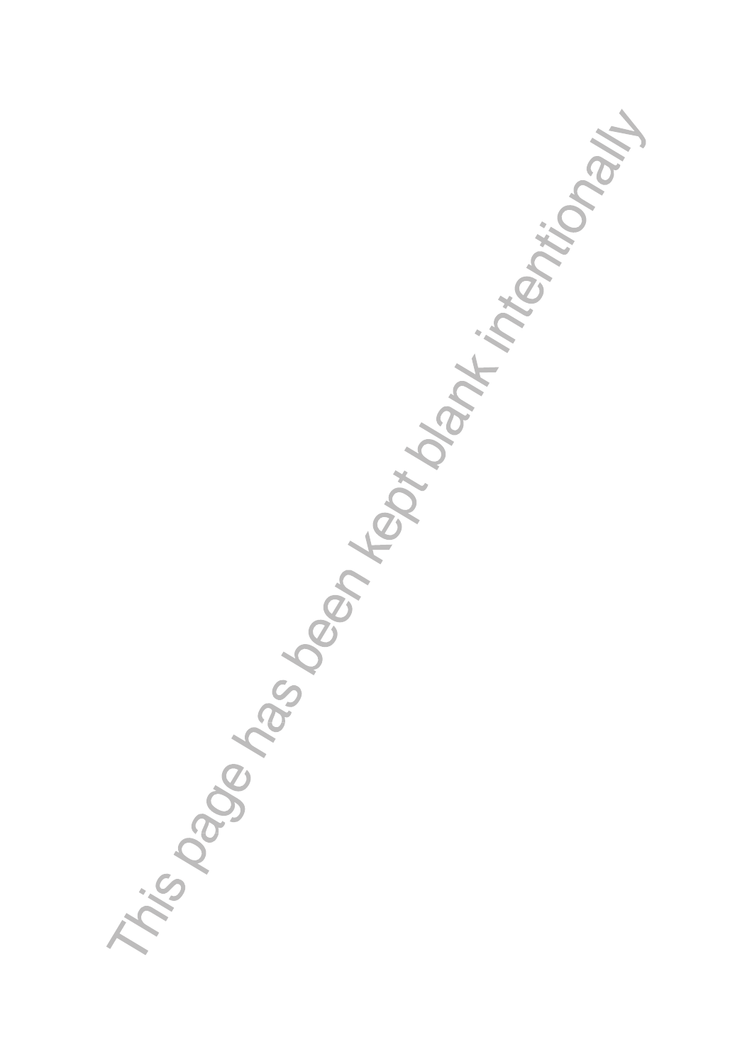This page the deep team to the primer the day.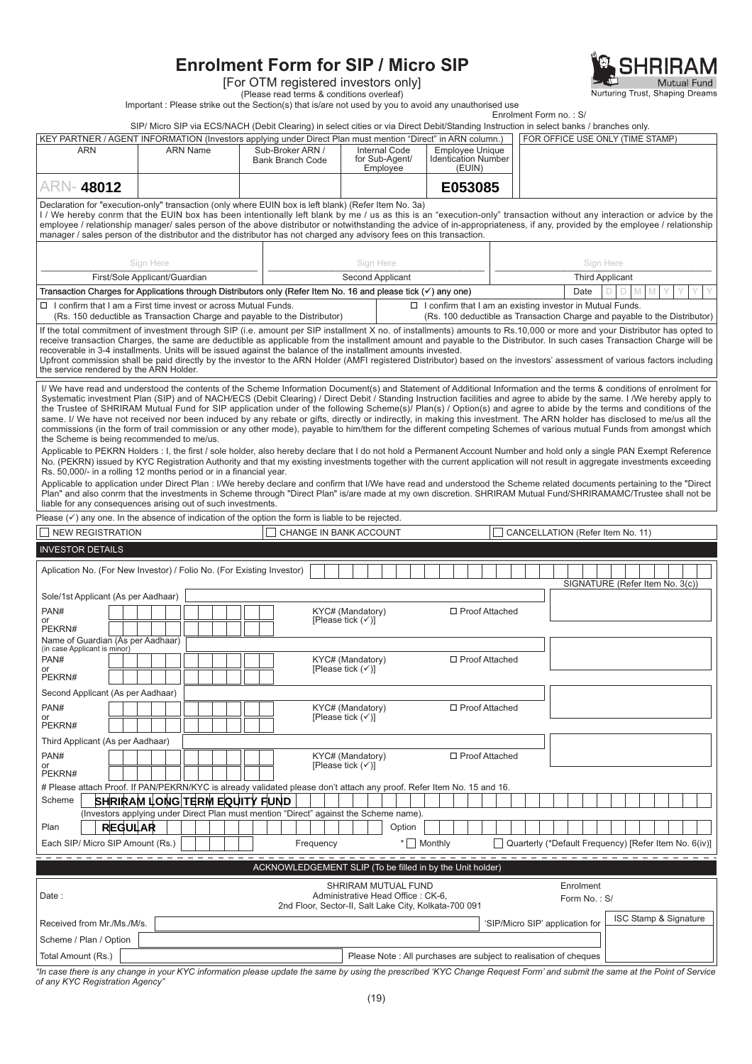## **Enrolment Form for SIP / Micro SIP**

**SHRIRAM**<br>
Mutual Fund<br>
Nuturing Trust, Shaping Dreams

[For OTM registered investors only] (Please read terms & conditions overleaf)

Important : Please strike out the Section(s) that is/are not used by you to avoid any unauthorised use

|                                                                                                                                                                                                                                                                                                                                                                                                                                                                                                                                                                                                                                                                                                                                                                                                                                                                                                                                                                                                                                                                                                                                                                                                                                                                                                                                                                                                                                                                                                                                                                                                                                                                                                                                                                     | SIP/ Micro SIP via ECS/NACH (Debit Clearing) in select cities or via Direct Debit/Standing Instruction in select banks / branches only. |                                                                                                                                |  |  |  |  |                                             |           |                                                                                                                   |           |                                                      |                                                                           | FOR OFFICE USE ONLY (TIME STAMP) |           |                                 |  |
|---------------------------------------------------------------------------------------------------------------------------------------------------------------------------------------------------------------------------------------------------------------------------------------------------------------------------------------------------------------------------------------------------------------------------------------------------------------------------------------------------------------------------------------------------------------------------------------------------------------------------------------------------------------------------------------------------------------------------------------------------------------------------------------------------------------------------------------------------------------------------------------------------------------------------------------------------------------------------------------------------------------------------------------------------------------------------------------------------------------------------------------------------------------------------------------------------------------------------------------------------------------------------------------------------------------------------------------------------------------------------------------------------------------------------------------------------------------------------------------------------------------------------------------------------------------------------------------------------------------------------------------------------------------------------------------------------------------------------------------------------------------------|-----------------------------------------------------------------------------------------------------------------------------------------|--------------------------------------------------------------------------------------------------------------------------------|--|--|--|--|---------------------------------------------|-----------|-------------------------------------------------------------------------------------------------------------------|-----------|------------------------------------------------------|---------------------------------------------------------------------------|----------------------------------|-----------|---------------------------------|--|
| <b>ARN</b>                                                                                                                                                                                                                                                                                                                                                                                                                                                                                                                                                                                                                                                                                                                                                                                                                                                                                                                                                                                                                                                                                                                                                                                                                                                                                                                                                                                                                                                                                                                                                                                                                                                                                                                                                          |                                                                                                                                         | KEY PARTNER / AGENT INFORMATION (Investors applying under Direct Plan must mention "Direct" in ARN column.)<br><b>ARN Name</b> |  |  |  |  | Sub-Broker ARN /<br><b>Bank Branch Code</b> |           | Internal Code<br>for Sub-Agent/                                                                                   |           | <b>Employee Unique</b><br><b>Identication Number</b> |                                                                           |                                  |           |                                 |  |
| ARN- 48012                                                                                                                                                                                                                                                                                                                                                                                                                                                                                                                                                                                                                                                                                                                                                                                                                                                                                                                                                                                                                                                                                                                                                                                                                                                                                                                                                                                                                                                                                                                                                                                                                                                                                                                                                          |                                                                                                                                         |                                                                                                                                |  |  |  |  |                                             | Employee  |                                                                                                                   |           | (EUIN)<br>E053085                                    |                                                                           |                                  |           |                                 |  |
| Declaration for "execution-only" transaction (only where EUIN box is left blank) (Refer Item No. 3a)<br>I/We hereby conrm that the EUIN box has been intentionally left blank by me / us as this is an "execution-only" transaction without any interaction or advice by the<br>employee / relationship manager/ sales person of the above distributor or notwithstanding the advice of in-appropriateness, if any, provided by the employee / relationship<br>manager / sales person of the distributor and the distributor has not charged any advisory fees on this transaction.                                                                                                                                                                                                                                                                                                                                                                                                                                                                                                                                                                                                                                                                                                                                                                                                                                                                                                                                                                                                                                                                                                                                                                                 |                                                                                                                                         |                                                                                                                                |  |  |  |  |                                             |           |                                                                                                                   |           |                                                      |                                                                           |                                  |           |                                 |  |
|                                                                                                                                                                                                                                                                                                                                                                                                                                                                                                                                                                                                                                                                                                                                                                                                                                                                                                                                                                                                                                                                                                                                                                                                                                                                                                                                                                                                                                                                                                                                                                                                                                                                                                                                                                     |                                                                                                                                         |                                                                                                                                |  |  |  |  |                                             |           |                                                                                                                   |           |                                                      |                                                                           |                                  |           |                                 |  |
|                                                                                                                                                                                                                                                                                                                                                                                                                                                                                                                                                                                                                                                                                                                                                                                                                                                                                                                                                                                                                                                                                                                                                                                                                                                                                                                                                                                                                                                                                                                                                                                                                                                                                                                                                                     | Sign Here                                                                                                                               |                                                                                                                                |  |  |  |  |                                             | Sign Here |                                                                                                                   |           |                                                      |                                                                           |                                  | Sign Here |                                 |  |
| First/Sole Applicant/Guardian<br>Transaction Charges for Applications through Distributors only (Refer Item No. 16 and please tick (√) any one)                                                                                                                                                                                                                                                                                                                                                                                                                                                                                                                                                                                                                                                                                                                                                                                                                                                                                                                                                                                                                                                                                                                                                                                                                                                                                                                                                                                                                                                                                                                                                                                                                     |                                                                                                                                         |                                                                                                                                |  |  |  |  |                                             |           | Second Applicant                                                                                                  |           |                                                      |                                                                           | <b>Third Applicant</b><br>Date   |           |                                 |  |
| $\Box$ I confirm that I am a First time invest or across Mutual Funds.                                                                                                                                                                                                                                                                                                                                                                                                                                                                                                                                                                                                                                                                                                                                                                                                                                                                                                                                                                                                                                                                                                                                                                                                                                                                                                                                                                                                                                                                                                                                                                                                                                                                                              |                                                                                                                                         |                                                                                                                                |  |  |  |  |                                             |           |                                                                                                                   |           |                                                      | $\Box$ I confirm that I am an existing investor in Mutual Funds.          |                                  |           |                                 |  |
| (Rs. 150 deductible as Transaction Charge and payable to the Distributor)                                                                                                                                                                                                                                                                                                                                                                                                                                                                                                                                                                                                                                                                                                                                                                                                                                                                                                                                                                                                                                                                                                                                                                                                                                                                                                                                                                                                                                                                                                                                                                                                                                                                                           |                                                                                                                                         |                                                                                                                                |  |  |  |  |                                             |           |                                                                                                                   |           |                                                      | (Rs. 100 deductible as Transaction Charge and payable to the Distributor) |                                  |           |                                 |  |
| If the total commitment of investment through SIP (i.e. amount per SIP installment X no. of installments) amounts to Rs.10,000 or more and your Distributor has opted to<br>receive transaction Charges, the same are deductible as applicable from the installment amount and payable to the Distributor. In such cases Transaction Charge will be<br>recoverable in 3-4 installments. Units will be issued against the balance of the installment amounts invested.<br>Upfront commission shall be paid directly by the investor to the ARN Holder (AMFI registered Distributor) based on the investors' assessment of various factors including<br>the service rendered by the ARN Holder.                                                                                                                                                                                                                                                                                                                                                                                                                                                                                                                                                                                                                                                                                                                                                                                                                                                                                                                                                                                                                                                                       |                                                                                                                                         |                                                                                                                                |  |  |  |  |                                             |           |                                                                                                                   |           |                                                      |                                                                           |                                  |           |                                 |  |
| I/ We have read and understood the contents of the Scheme Information Document(s) and Statement of Additional Information and the terms & conditions of enrolment for<br>Systematic investment Plan (SIP) and of NACH/ECS (Debit Clearing) / Direct Debit / Standing Instruction facilities and agree to abide by the same. I /We hereby apply to<br>the Trustee of SHRIRAM Mutual Fund for SIP application under of the following Scheme(s)/ Plan(s) / Option(s) and agree to abide by the terms and conditions of the<br>same. I/ We have not received nor been induced by any rebate or gifts, directly or indirectly, in making this investment. The ARN holder has disclosed to me/us all the<br>commissions (in the form of trail commission or any other mode), payable to him/them for the different competing Schemes of various mutual Funds from amongst which<br>the Scheme is being recommended to me/us.<br>Applicable to PEKRN Holders : I, the first / sole holder, also hereby declare that I do not hold a Permanent Account Number and hold only a single PAN Exempt Reference<br>No. (PEKRN) issued by KYC Registration Authority and that my existing investments together with the current application will not result in aggregate investments exceeding<br>Rs. 50,000/- in a rolling 12 months period or in a financial year.<br>Applicable to application under Direct Plan : I/We hereby declare and confirm that I/We have read and understood the Scheme related documents pertaining to the "Direct<br>Plan" and also conrm that the investments in Scheme through "Direct Plan" is/are made at my own discretion. SHRIRAM Mutual Fund/SHRIRAMAMC/Trustee shall not be<br>liable for any consequences arising out of such investments. |                                                                                                                                         |                                                                                                                                |  |  |  |  |                                             |           |                                                                                                                   |           |                                                      |                                                                           |                                  |           |                                 |  |
| Please $(\checkmark)$ any one. In the absence of indication of the option the form is liable to be rejected.                                                                                                                                                                                                                                                                                                                                                                                                                                                                                                                                                                                                                                                                                                                                                                                                                                                                                                                                                                                                                                                                                                                                                                                                                                                                                                                                                                                                                                                                                                                                                                                                                                                        |                                                                                                                                         |                                                                                                                                |  |  |  |  |                                             |           |                                                                                                                   |           |                                                      |                                                                           |                                  |           |                                 |  |
| <b>NEW REGISTRATION</b>                                                                                                                                                                                                                                                                                                                                                                                                                                                                                                                                                                                                                                                                                                                                                                                                                                                                                                                                                                                                                                                                                                                                                                                                                                                                                                                                                                                                                                                                                                                                                                                                                                                                                                                                             |                                                                                                                                         |                                                                                                                                |  |  |  |  | CHANGE IN BANK ACCOUNT                      |           |                                                                                                                   |           |                                                      | CANCELLATION (Refer Item No. 11)                                          |                                  |           |                                 |  |
| <b>INVESTOR DETAILS</b>                                                                                                                                                                                                                                                                                                                                                                                                                                                                                                                                                                                                                                                                                                                                                                                                                                                                                                                                                                                                                                                                                                                                                                                                                                                                                                                                                                                                                                                                                                                                                                                                                                                                                                                                             |                                                                                                                                         |                                                                                                                                |  |  |  |  |                                             |           |                                                                                                                   |           |                                                      |                                                                           |                                  |           |                                 |  |
| Aplication No. (For New Investor) / Folio No. (For Existing Investor)                                                                                                                                                                                                                                                                                                                                                                                                                                                                                                                                                                                                                                                                                                                                                                                                                                                                                                                                                                                                                                                                                                                                                                                                                                                                                                                                                                                                                                                                                                                                                                                                                                                                                               |                                                                                                                                         |                                                                                                                                |  |  |  |  |                                             |           |                                                                                                                   |           |                                                      |                                                                           |                                  |           | SIGNATURE (Refer Item No. 3(c)) |  |
| Sole/1st Applicant (As per Aadhaar)                                                                                                                                                                                                                                                                                                                                                                                                                                                                                                                                                                                                                                                                                                                                                                                                                                                                                                                                                                                                                                                                                                                                                                                                                                                                                                                                                                                                                                                                                                                                                                                                                                                                                                                                 |                                                                                                                                         |                                                                                                                                |  |  |  |  |                                             |           |                                                                                                                   |           |                                                      |                                                                           |                                  |           |                                 |  |
| PAN#                                                                                                                                                                                                                                                                                                                                                                                                                                                                                                                                                                                                                                                                                                                                                                                                                                                                                                                                                                                                                                                                                                                                                                                                                                                                                                                                                                                                                                                                                                                                                                                                                                                                                                                                                                |                                                                                                                                         |                                                                                                                                |  |  |  |  | KYC# (Mandatory)                            |           |                                                                                                                   |           | □ Proof Attached                                     |                                                                           |                                  |           |                                 |  |
| or<br>PEKRN#                                                                                                                                                                                                                                                                                                                                                                                                                                                                                                                                                                                                                                                                                                                                                                                                                                                                                                                                                                                                                                                                                                                                                                                                                                                                                                                                                                                                                                                                                                                                                                                                                                                                                                                                                        |                                                                                                                                         |                                                                                                                                |  |  |  |  | [Please tick $(\checkmark)$ ]               |           |                                                                                                                   |           |                                                      |                                                                           |                                  |           |                                 |  |
| Name of Guardian (As per Aadhaar)                                                                                                                                                                                                                                                                                                                                                                                                                                                                                                                                                                                                                                                                                                                                                                                                                                                                                                                                                                                                                                                                                                                                                                                                                                                                                                                                                                                                                                                                                                                                                                                                                                                                                                                                   |                                                                                                                                         |                                                                                                                                |  |  |  |  |                                             |           |                                                                                                                   |           |                                                      |                                                                           |                                  |           |                                 |  |
| (in case Applicant is minor)<br>PAN#                                                                                                                                                                                                                                                                                                                                                                                                                                                                                                                                                                                                                                                                                                                                                                                                                                                                                                                                                                                                                                                                                                                                                                                                                                                                                                                                                                                                                                                                                                                                                                                                                                                                                                                                |                                                                                                                                         |                                                                                                                                |  |  |  |  | KYC# (Mandatory)                            |           |                                                                                                                   |           | □ Proof Attached                                     |                                                                           |                                  |           |                                 |  |
| or<br>PEKRN#                                                                                                                                                                                                                                                                                                                                                                                                                                                                                                                                                                                                                                                                                                                                                                                                                                                                                                                                                                                                                                                                                                                                                                                                                                                                                                                                                                                                                                                                                                                                                                                                                                                                                                                                                        |                                                                                                                                         |                                                                                                                                |  |  |  |  | [Please tick $(\checkmark)$ ]               |           |                                                                                                                   |           |                                                      |                                                                           |                                  |           |                                 |  |
| Second Applicant (As per Aadhaar)                                                                                                                                                                                                                                                                                                                                                                                                                                                                                                                                                                                                                                                                                                                                                                                                                                                                                                                                                                                                                                                                                                                                                                                                                                                                                                                                                                                                                                                                                                                                                                                                                                                                                                                                   |                                                                                                                                         |                                                                                                                                |  |  |  |  |                                             |           |                                                                                                                   |           |                                                      |                                                                           |                                  |           |                                 |  |
| PAN#                                                                                                                                                                                                                                                                                                                                                                                                                                                                                                                                                                                                                                                                                                                                                                                                                                                                                                                                                                                                                                                                                                                                                                                                                                                                                                                                                                                                                                                                                                                                                                                                                                                                                                                                                                |                                                                                                                                         |                                                                                                                                |  |  |  |  | KYC# (Mandatory)                            |           |                                                                                                                   |           | □ Proof Attached                                     |                                                                           |                                  |           |                                 |  |
| or<br>PEKRN#                                                                                                                                                                                                                                                                                                                                                                                                                                                                                                                                                                                                                                                                                                                                                                                                                                                                                                                                                                                                                                                                                                                                                                                                                                                                                                                                                                                                                                                                                                                                                                                                                                                                                                                                                        |                                                                                                                                         |                                                                                                                                |  |  |  |  | [Please tick $(\checkmark)$ ]               |           |                                                                                                                   |           |                                                      |                                                                           |                                  |           |                                 |  |
| Third Applicant (As per Aadhaar)                                                                                                                                                                                                                                                                                                                                                                                                                                                                                                                                                                                                                                                                                                                                                                                                                                                                                                                                                                                                                                                                                                                                                                                                                                                                                                                                                                                                                                                                                                                                                                                                                                                                                                                                    |                                                                                                                                         |                                                                                                                                |  |  |  |  |                                             |           |                                                                                                                   |           |                                                      |                                                                           |                                  |           |                                 |  |
| PAN#                                                                                                                                                                                                                                                                                                                                                                                                                                                                                                                                                                                                                                                                                                                                                                                                                                                                                                                                                                                                                                                                                                                                                                                                                                                                                                                                                                                                                                                                                                                                                                                                                                                                                                                                                                |                                                                                                                                         |                                                                                                                                |  |  |  |  | KYC# (Mandatory)                            |           |                                                                                                                   |           | □ Proof Attached                                     |                                                                           |                                  |           |                                 |  |
|                                                                                                                                                                                                                                                                                                                                                                                                                                                                                                                                                                                                                                                                                                                                                                                                                                                                                                                                                                                                                                                                                                                                                                                                                                                                                                                                                                                                                                                                                                                                                                                                                                                                                                                                                                     |                                                                                                                                         |                                                                                                                                |  |  |  |  | [Please tick $(\checkmark)$ ]               |           |                                                                                                                   |           |                                                      |                                                                           |                                  |           |                                 |  |
|                                                                                                                                                                                                                                                                                                                                                                                                                                                                                                                                                                                                                                                                                                                                                                                                                                                                                                                                                                                                                                                                                                                                                                                                                                                                                                                                                                                                                                                                                                                                                                                                                                                                                                                                                                     |                                                                                                                                         |                                                                                                                                |  |  |  |  |                                             |           |                                                                                                                   |           |                                                      |                                                                           |                                  |           |                                 |  |
|                                                                                                                                                                                                                                                                                                                                                                                                                                                                                                                                                                                                                                                                                                                                                                                                                                                                                                                                                                                                                                                                                                                                                                                                                                                                                                                                                                                                                                                                                                                                                                                                                                                                                                                                                                     |                                                                                                                                         |                                                                                                                                |  |  |  |  |                                             |           |                                                                                                                   |           |                                                      |                                                                           |                                  |           |                                 |  |
| SHRIRAM LONG TERM EQUITY FUND                                                                                                                                                                                                                                                                                                                                                                                                                                                                                                                                                                                                                                                                                                                                                                                                                                                                                                                                                                                                                                                                                                                                                                                                                                                                                                                                                                                                                                                                                                                                                                                                                                                                                                                                       |                                                                                                                                         |                                                                                                                                |  |  |  |  |                                             |           |                                                                                                                   |           |                                                      |                                                                           |                                  |           |                                 |  |
| (Investors applying under Direct Plan must mention "Direct" against the Scheme name).                                                                                                                                                                                                                                                                                                                                                                                                                                                                                                                                                                                                                                                                                                                                                                                                                                                                                                                                                                                                                                                                                                                                                                                                                                                                                                                                                                                                                                                                                                                                                                                                                                                                               |                                                                                                                                         |                                                                                                                                |  |  |  |  |                                             |           |                                                                                                                   |           |                                                      |                                                                           |                                  |           |                                 |  |
| <b>REGULAR</b>                                                                                                                                                                                                                                                                                                                                                                                                                                                                                                                                                                                                                                                                                                                                                                                                                                                                                                                                                                                                                                                                                                                                                                                                                                                                                                                                                                                                                                                                                                                                                                                                                                                                                                                                                      |                                                                                                                                         |                                                                                                                                |  |  |  |  |                                             |           | Option                                                                                                            |           |                                                      |                                                                           |                                  |           |                                 |  |
|                                                                                                                                                                                                                                                                                                                                                                                                                                                                                                                                                                                                                                                                                                                                                                                                                                                                                                                                                                                                                                                                                                                                                                                                                                                                                                                                                                                                                                                                                                                                                                                                                                                                                                                                                                     |                                                                                                                                         |                                                                                                                                |  |  |  |  | Frequency                                   |           |                                                                                                                   | * Monthly |                                                      | Quarterly (*Default Frequency) [Refer Item No. 6(iv)]                     |                                  |           |                                 |  |
|                                                                                                                                                                                                                                                                                                                                                                                                                                                                                                                                                                                                                                                                                                                                                                                                                                                                                                                                                                                                                                                                                                                                                                                                                                                                                                                                                                                                                                                                                                                                                                                                                                                                                                                                                                     |                                                                                                                                         |                                                                                                                                |  |  |  |  |                                             |           |                                                                                                                   |           |                                                      |                                                                           |                                  |           |                                 |  |
| or<br>PEKRN#<br># Please attach Proof. If PAN/PEKRN/KYC is already validated please don't attach any proof. Refer Item No. 15 and 16.<br>Scheme<br>Plan<br>Each SIP/ Micro SIP Amount (Rs.)                                                                                                                                                                                                                                                                                                                                                                                                                                                                                                                                                                                                                                                                                                                                                                                                                                                                                                                                                                                                                                                                                                                                                                                                                                                                                                                                                                                                                                                                                                                                                                         |                                                                                                                                         |                                                                                                                                |  |  |  |  |                                             |           | ACKNOWLEDGEMENT SLIP (To be filled in by the Unit holder)                                                         |           |                                                      |                                                                           |                                  |           |                                 |  |
|                                                                                                                                                                                                                                                                                                                                                                                                                                                                                                                                                                                                                                                                                                                                                                                                                                                                                                                                                                                                                                                                                                                                                                                                                                                                                                                                                                                                                                                                                                                                                                                                                                                                                                                                                                     |                                                                                                                                         |                                                                                                                                |  |  |  |  |                                             |           | SHRIRAM MUTUAL FUND<br>Administrative Head Office: CK-6,<br>2nd Floor, Sector-II, Salt Lake City, Kolkata-700 091 |           |                                                      |                                                                           | Enrolment<br>Form No.: S/        |           |                                 |  |
|                                                                                                                                                                                                                                                                                                                                                                                                                                                                                                                                                                                                                                                                                                                                                                                                                                                                                                                                                                                                                                                                                                                                                                                                                                                                                                                                                                                                                                                                                                                                                                                                                                                                                                                                                                     |                                                                                                                                         |                                                                                                                                |  |  |  |  |                                             |           |                                                                                                                   |           |                                                      | 'SIP/Micro SIP' application for                                           |                                  |           | ISC Stamp & Signature           |  |
| Date:<br>Received from Mr./Ms./M/s.<br>Scheme / Plan / Option                                                                                                                                                                                                                                                                                                                                                                                                                                                                                                                                                                                                                                                                                                                                                                                                                                                                                                                                                                                                                                                                                                                                                                                                                                                                                                                                                                                                                                                                                                                                                                                                                                                                                                       |                                                                                                                                         |                                                                                                                                |  |  |  |  |                                             |           |                                                                                                                   |           |                                                      |                                                                           |                                  |           |                                 |  |

*In case there is any change in your KYC information please update the same by using the prescribed KYC Change Request Form and submit the same at the Point of Service of any KYC Registration Agency*